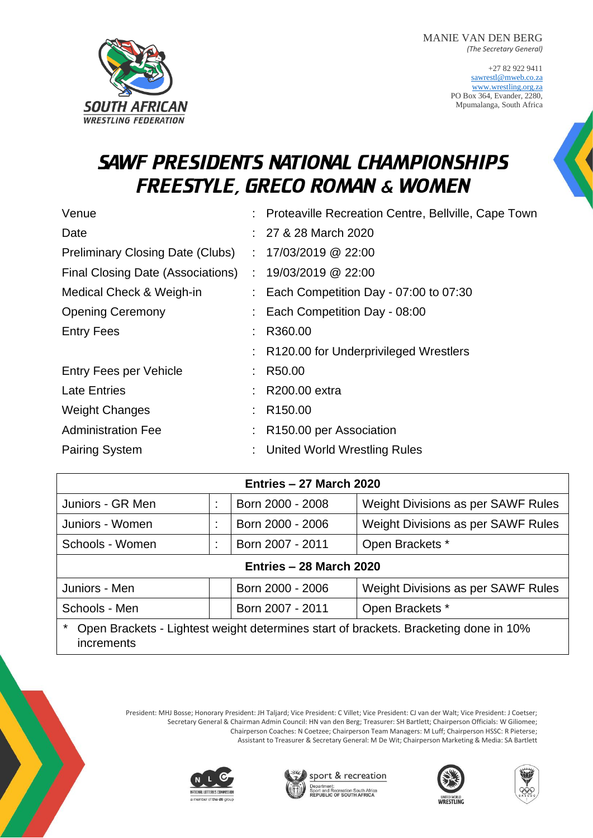MANIE VAN DEN BERG *(The Secretary General)*

> +27 82 922 9411 [sawrestl@mweb.co.za](mailto:sawrestl@mweb.co.za) [www.wrestling.org.za](http://www.wrestling.org.za/) PO Box 364, Evander, 2280, Mpumalanga, South Africa



## SAWF PRESIDENTS NATIONAL CHAMPIONSHIPS FREESTYLE, GRECO ROMAN & WOMEN

| Venue                                   | : Proteaville Recreation Centre, Bellville, Cape Town |
|-----------------------------------------|-------------------------------------------------------|
| Date                                    | : 27 & 28 March 2020                                  |
| <b>Preliminary Closing Date (Clubs)</b> | $: 17/03/2019$ @ 22:00                                |
| Final Closing Date (Associations)       | $: 19/03/2019$ @ 22:00                                |
| Medical Check & Weigh-in                | $\therefore$ Each Competition Day - 07:00 to 07:30    |
| <b>Opening Ceremony</b>                 | : Each Competition Day - 08:00                        |
| <b>Entry Fees</b>                       | R360.00                                               |
|                                         | R120.00 for Underprivileged Wrestlers                 |
| Entry Fees per Vehicle                  | R50.00                                                |
| <b>Late Entries</b>                     | $: R200.00$ extra                                     |
| <b>Weight Changes</b>                   | : R150.00                                             |
| <b>Administration Fee</b>               | R <sub>150.00</sub> per Association                   |
| <b>Pairing System</b>                   | <b>United World Wrestling Rules</b>                   |

| Entries - 27 March 2020 |  |                  |                                    |  |  |  |
|-------------------------|--|------------------|------------------------------------|--|--|--|
| Juniors - GR Men        |  | Born 2000 - 2008 | Weight Divisions as per SAWF Rules |  |  |  |
| Juniors - Women         |  | Born 2000 - 2006 | Weight Divisions as per SAWF Rules |  |  |  |
| Schools - Women         |  | Born 2007 - 2011 | Open Brackets *                    |  |  |  |
| Entries - 28 March 2020 |  |                  |                                    |  |  |  |

| Juniors - Men | Born 2000 - 2006 | Weight Divisions as per SAWF Rules |
|---------------|------------------|------------------------------------|
| Schools - Men | Born 2007 - 2011 | Open Brackets *                    |

Open Brackets - Lightest weight determines start of brackets. Bracketing done in 10% increments

> President: MHJ Bosse; Honorary President: JH Taljard; Vice President: C Villet; Vice President: CJ van der Walt; Vice President: J Coetser; Secretary General & Chairman Admin Council: HN van den Berg; Treasurer: SH Bartlett; Chairperson Officials: W Giliomee; Chairperson Coaches: N Coetzee; Chairperson Team Managers: M Luff; Chairperson HSSC: R Pieterse; Assistant to Treasurer & Secretary General: M De Wit; Chairperson Marketing & Media: SA Bartlett







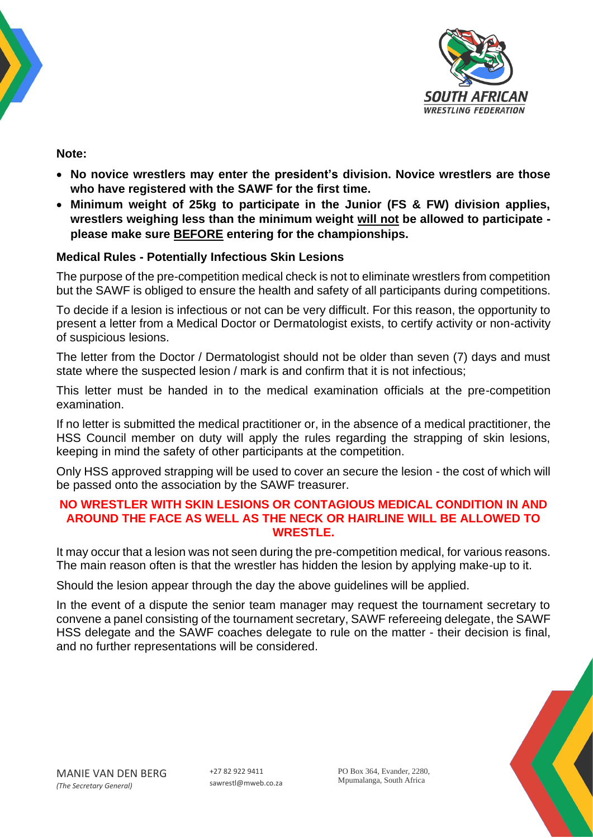



**Note:**

- **No novice wrestlers may enter the president's division. Novice wrestlers are those who have registered with the SAWF for the first time.**
- **Minimum weight of 25kg to participate in the Junior (FS & FW) division applies, wrestlers weighing less than the minimum weight will not be allowed to participate please make sure BEFORE entering for the championships.**

### **Medical Rules - Potentially Infectious Skin Lesions**

The purpose of the pre-competition medical check is not to eliminate wrestlers from competition but the SAWF is obliged to ensure the health and safety of all participants during competitions.

To decide if a lesion is infectious or not can be very difficult. For this reason, the opportunity to present a letter from a Medical Doctor or Dermatologist exists, to certify activity or non-activity of suspicious lesions.

The letter from the Doctor / Dermatologist should not be older than seven (7) days and must state where the suspected lesion / mark is and confirm that it is not infectious;

This letter must be handed in to the medical examination officials at the pre-competition examination.

If no letter is submitted the medical practitioner or, in the absence of a medical practitioner, the HSS Council member on duty will apply the rules regarding the strapping of skin lesions, keeping in mind the safety of other participants at the competition.

Only HSS approved strapping will be used to cover an secure the lesion - the cost of which will be passed onto the association by the SAWF treasurer.

#### **NO WRESTLER WITH SKIN LESIONS OR CONTAGIOUS MEDICAL CONDITION IN AND AROUND THE FACE AS WELL AS THE NECK OR HAIRLINE WILL BE ALLOWED TO WRESTLE.**

It may occur that a lesion was not seen during the pre-competition medical, for various reasons. The main reason often is that the wrestler has hidden the lesion by applying make-up to it.

Should the lesion appear through the day the above guidelines will be applied.

In the event of a dispute the senior team manager may request the tournament secretary to convene a panel consisting of the tournament secretary, SAWF refereeing delegate, the SAWF HSS delegate and the SAWF coaches delegate to rule on the matter - their decision is final, and no further representations will be considered.

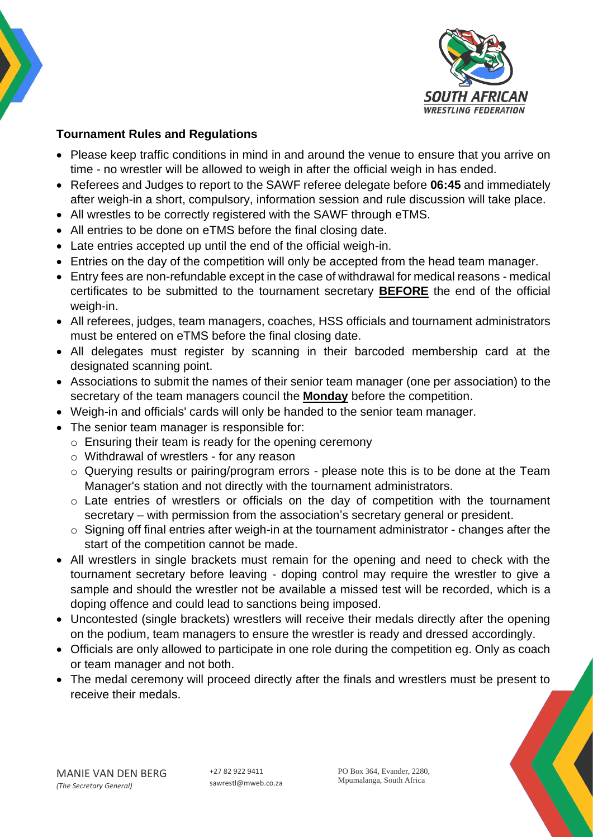

## **Tournament Rules and Regulations**

- Please keep traffic conditions in mind in and around the venue to ensure that you arrive on time - no wrestler will be allowed to weigh in after the official weigh in has ended.
- Referees and Judges to report to the SAWF referee delegate before **06:45** and immediately after weigh-in a short, compulsory, information session and rule discussion will take place.
- All wrestles to be correctly registered with the SAWF through eTMS.
- All entries to be done on eTMS before the final closing date.
- Late entries accepted up until the end of the official weigh-in.
- Entries on the day of the competition will only be accepted from the head team manager.
- Entry fees are non-refundable except in the case of withdrawal for medical reasons medical certificates to be submitted to the tournament secretary **BEFORE** the end of the official weigh-in.
- All referees, judges, team managers, coaches, HSS officials and tournament administrators must be entered on eTMS before the final closing date.
- All delegates must register by scanning in their barcoded membership card at the designated scanning point.
- Associations to submit the names of their senior team manager (one per association) to the secretary of the team managers council the **Monday** before the competition.
- Weigh-in and officials' cards will only be handed to the senior team manager.
- The senior team manager is responsible for:
	- o Ensuring their team is ready for the opening ceremony
	- o Withdrawal of wrestlers for any reason
	- o Querying results or pairing/program errors please note this is to be done at the Team Manager's station and not directly with the tournament administrators.
	- o Late entries of wrestlers or officials on the day of competition with the tournament secretary – with permission from the association's secretary general or president.
	- o Signing off final entries after weigh-in at the tournament administrator changes after the start of the competition cannot be made.
- All wrestlers in single brackets must remain for the opening and need to check with the tournament secretary before leaving - doping control may require the wrestler to give a sample and should the wrestler not be available a missed test will be recorded, which is a doping offence and could lead to sanctions being imposed.
- Uncontested (single brackets) wrestlers will receive their medals directly after the opening on the podium, team managers to ensure the wrestler is ready and dressed accordingly.
- Officials are only allowed to participate in one role during the competition eg. Only as coach or team manager and not both.
- The medal ceremony will proceed directly after the finals and wrestlers must be present to receive their medals.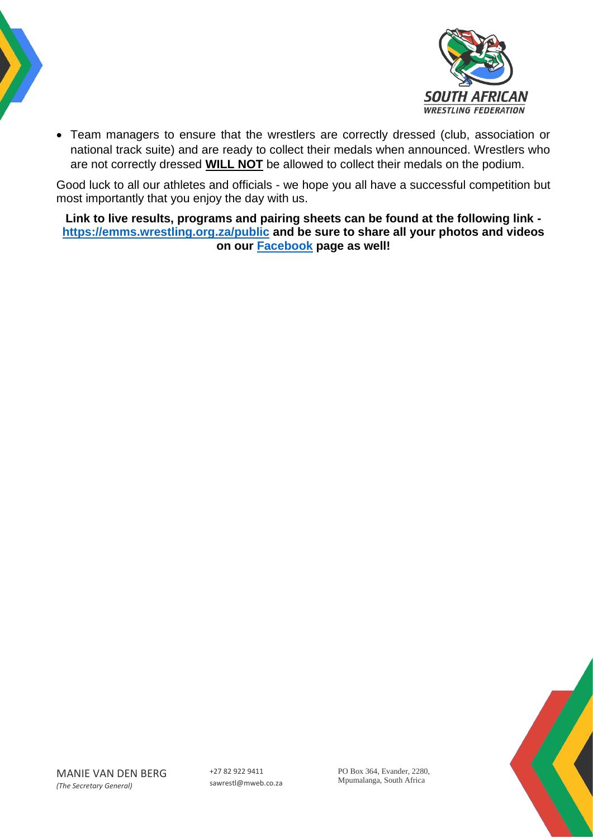



• Team managers to ensure that the wrestlers are correctly dressed (club, association or national track suite) and are ready to collect their medals when announced. Wrestlers who are not correctly dressed **WILL NOT** be allowed to collect their medals on the podium.

Good luck to all our athletes and officials - we hope you all have a successful competition but most importantly that you enjoy the day with us.

**Link to live results, programs and pairing sheets can be found at the following link <https://emms.wrestling.org.za/public> and be sure to share all your photos and videos on our [Facebook](https://www.facebook.com/WrestingSA/) page as well!**